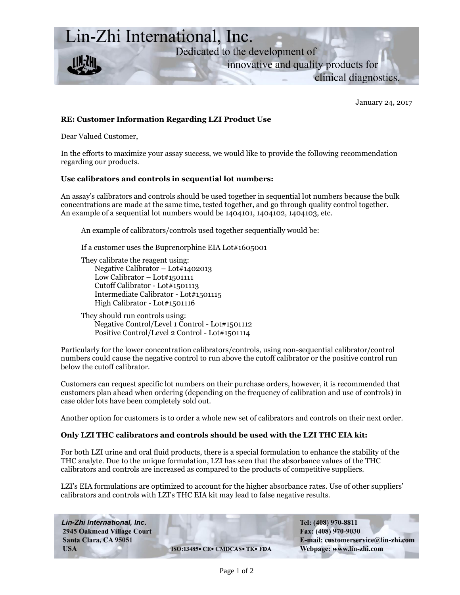

January 24, 2017

## **RE: Customer Information Regarding LZI Product Use**

Dear Valued Customer,

In the efforts to maximize your assay success, we would like to provide the following recommendation regarding our products.

## **Use calibrators and controls in sequential lot numbers:**

An assay's calibrators and controls should be used together in sequential lot numbers because the bulk concentrations are made at the same time, tested together, and go through quality control together. An example of a sequential lot numbers would be 1404101, 1404102, 1404103, etc.

An example of calibrators/controls used together sequentially would be:

If a customer uses the Buprenorphine EIA Lot#1605001

They calibrate the reagent using: Negative Calibrator – Lot#1402013 Low Calibrator – Lot#1501111 Cutoff Calibrator - Lot#1501113 Intermediate Calibrator - Lot#1501115 High Calibrator - Lot#1501116

They should run controls using: Negative Control/Level 1 Control - Lot#1501112 Positive Control/Level 2 Control - Lot#1501114

Particularly for the lower concentration calibrators/controls, using non-sequential calibrator/control numbers could cause the negative control to run above the cutoff calibrator or the positive control run below the cutoff calibrator.

Customers can request specific lot numbers on their purchase orders, however, it is recommended that customers plan ahead when ordering (depending on the frequency of calibration and use of controls) in case older lots have been completely sold out.

Another option for customers is to order a whole new set of calibrators and controls on their next order.

## **Only LZI THC calibrators and controls should be used with the LZI THC EIA kit:**

For both LZI urine and oral fluid products, there is a special formulation to enhance the stability of the THC analyte. Due to the unique formulation, LZI has seen that the absorbance values of the THC calibrators and controls are increased as compared to the products of competitive suppliers.

LZI's EIA formulations are optimized to account for the higher absorbance rates. Use of other suppliers' calibrators and controls with LZI's THC EIA kit may lead to false negative results.

Lin-Zhi International, Inc. **2945 Oakmead Village Court** Santa Clara, CA 95051 **USA** 

ISO:13485• CE• CMDCAS• TK• FDA

Tel: (408) 970-8811 Fax: (408) 970-9030 E-mail: customerservice@lin-zhi.com Webpage: www.lin-zhi.com